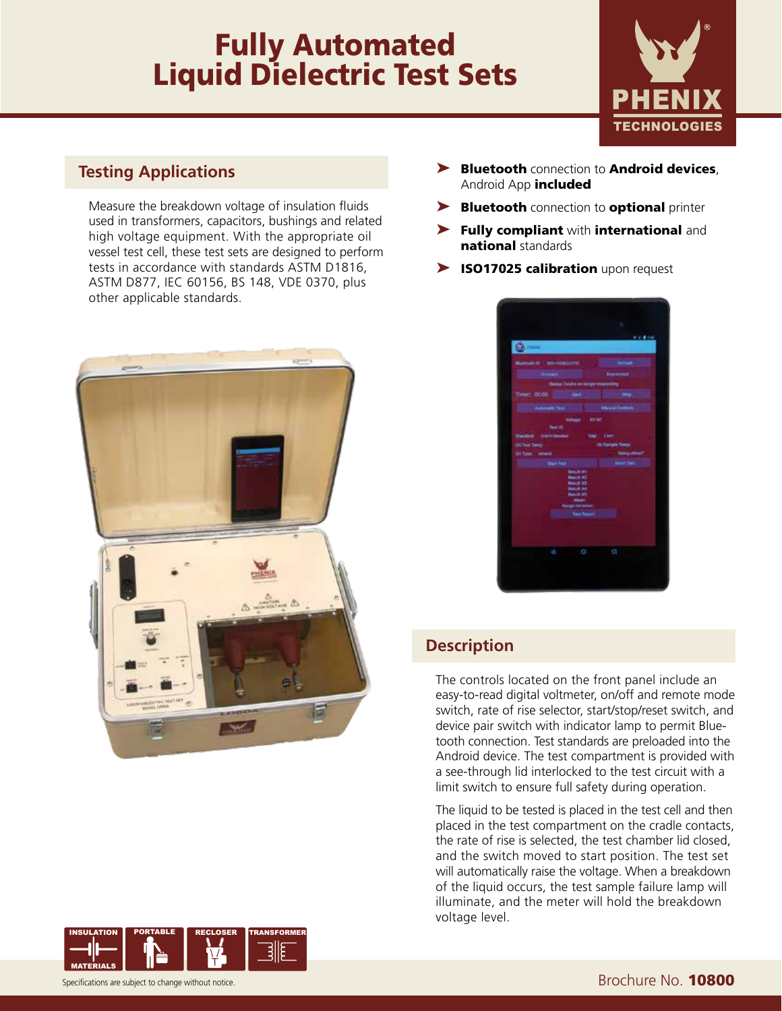# **Fully Automated<br>Liquid Dielectric Test Sets**



### **Testing Applications**

Measure the breakdown voltage of insulation fluids used in transformers, capacitors, bushings and related high voltage equipment. With the appropriate oil vessel test cell, these test sets are designed to perform tests in accordance with standards ASTM D1816, ASTM D877, IEC 60156, BS 148, VDE 0370, plus other applicable standards.





- ▶ Bluetooth connection to Android devices, Android App *included*
- ▶ Bluetooth connection to optional printer
- ▶ Fully compliant with international and national standards
- ▶ ISO17025 calibration upon request

## **Description**

The controls located on the front panel include an easy-to-read digital voltmeter, on/off and remote mode switch, rate of rise selector, start/stop/reset switch, and device pair switch with indicator lamp to permit Bluetooth connection. Test standards are preloaded into the Android device. The test compartment is provided with a see-through lid interlocked to the test circuit with a limit switch to ensure full safety during operation.

The liquid to be tested is placed in the test cell and then placed in the test compartment on the cradle contacts, the rate of rise is selected, the test chamber lid closed, and the switch moved to start position. The test set will automatically raise the voltage. When a breakdown of the liquid occurs, the test sample failure lamp will illuminate, and the meter will hold the breakdown voltage level.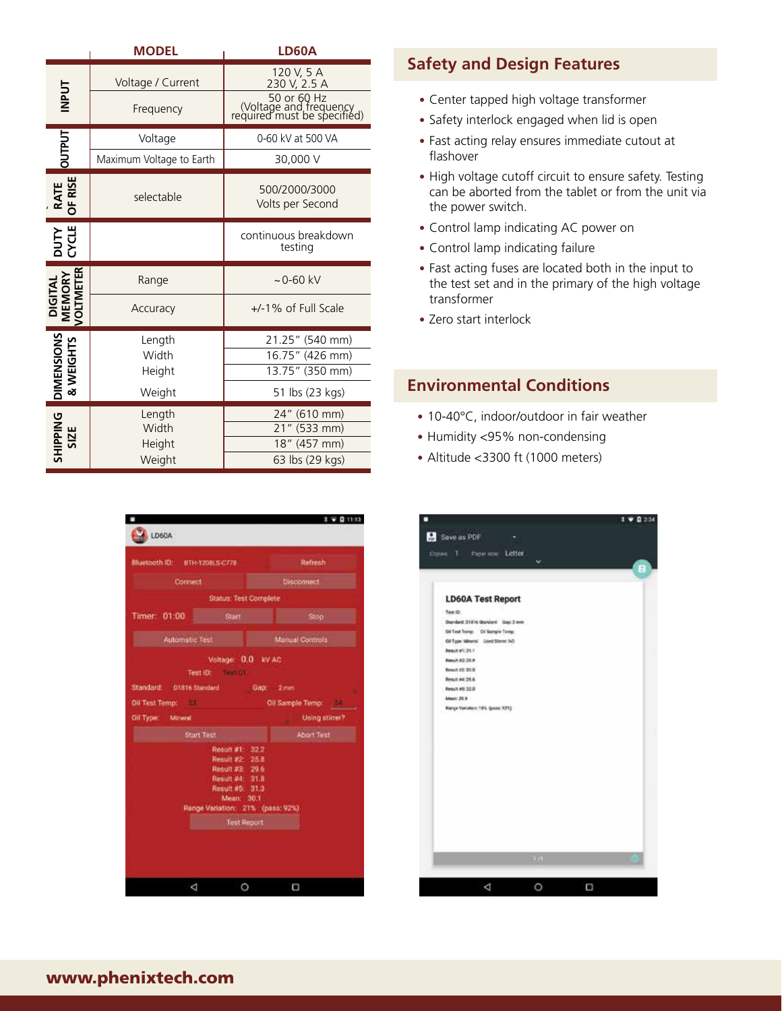|                                | <b>MODEL</b>                        | <b>LD60A</b>                                                                         |                                                                                                                                                   |  |  |
|--------------------------------|-------------------------------------|--------------------------------------------------------------------------------------|---------------------------------------------------------------------------------------------------------------------------------------------------|--|--|
|                                |                                     | 120 V, 5 A                                                                           | <b>Safety and Design Features</b>                                                                                                                 |  |  |
| <b>INPUT</b>                   | Voltage / Current<br>Frequency      | 230 V, 2.5 A<br>50 or 60 Hz<br>(Voltage and frequency<br>required must be specified) | • Center tapped high voltage transformer<br>• Safety interlock engaged when lid is ope<br>• Fast acting relay ensures immediate cuto<br>flashover |  |  |
| <b>OUTPUT</b>                  | Voltage                             | 0-60 kV at 500 VA                                                                    |                                                                                                                                                   |  |  |
|                                | Maximum Voltage to Earth            | 30,000 V                                                                             |                                                                                                                                                   |  |  |
| RATE<br>OF RISE                | selectable                          | 500/2000/3000<br>Volts per Second                                                    | • High voltage cutoff circuit to ensure safe<br>can be aborted from the tablet or from<br>the power switch.                                       |  |  |
|                                |                                     | continuous breakdown                                                                 | • Control lamp indicating AC power on                                                                                                             |  |  |
| <b>DUTY</b><br>CYCLE           |                                     | testing                                                                              | • Control lamp indicating failure                                                                                                                 |  |  |
| DIGITAL<br>MEMORY<br>VOLTMETER | Range                               | $~10 - 60$ kV                                                                        | • Fast acting fuses are located both in the<br>the test set and in the primary of the hid<br>transformer<br>• Zero start interlock                |  |  |
|                                | Accuracy                            | +/-1% of Full Scale                                                                  |                                                                                                                                                   |  |  |
|                                | Length                              | 21.25" (540 mm)                                                                      |                                                                                                                                                   |  |  |
| <b>DIMENSIONS</b><br>& WEIGHTS | Width<br>Height                     | 16.75" (426 mm)<br>13.75" (350 mm)                                                   |                                                                                                                                                   |  |  |
|                                | Weight                              | 51 lbs (23 kgs)                                                                      | <b>Environmental Conditions</b>                                                                                                                   |  |  |
| <b>SHIPPING</b><br>SIZE        | Length<br>Width<br>Height<br>Weight | 24" (610 mm)<br>21" (533 mm)<br>18" (457 mm)<br>63 lbs (29 kgs)                      | • 10-40°C, indoor/outdoor in fair weather<br>• Humidity <95% non-condensing<br>• Altitude <3300 ft (1000 meters)                                  |  |  |



# **Safety and Design Features**

- Center tapped high voltage transformer
- Safety interlock engaged when lid is open
- Fast acting relay ensures immediate cutout at flashover
- High voltage cutoff circuit to ensure safety. Testing can be aborted from the tablet or from the unit via the power switch.
- Control lamp indicating AC power on
- Control lamp indicating failure
- • Fast acting fuses are located both in the input to the test set and in the primary of the high voltage transformer
- Zero start interlock

#### **Environmental Conditions**

- 
- 
- Altitude <3300 ft (1000 meters)

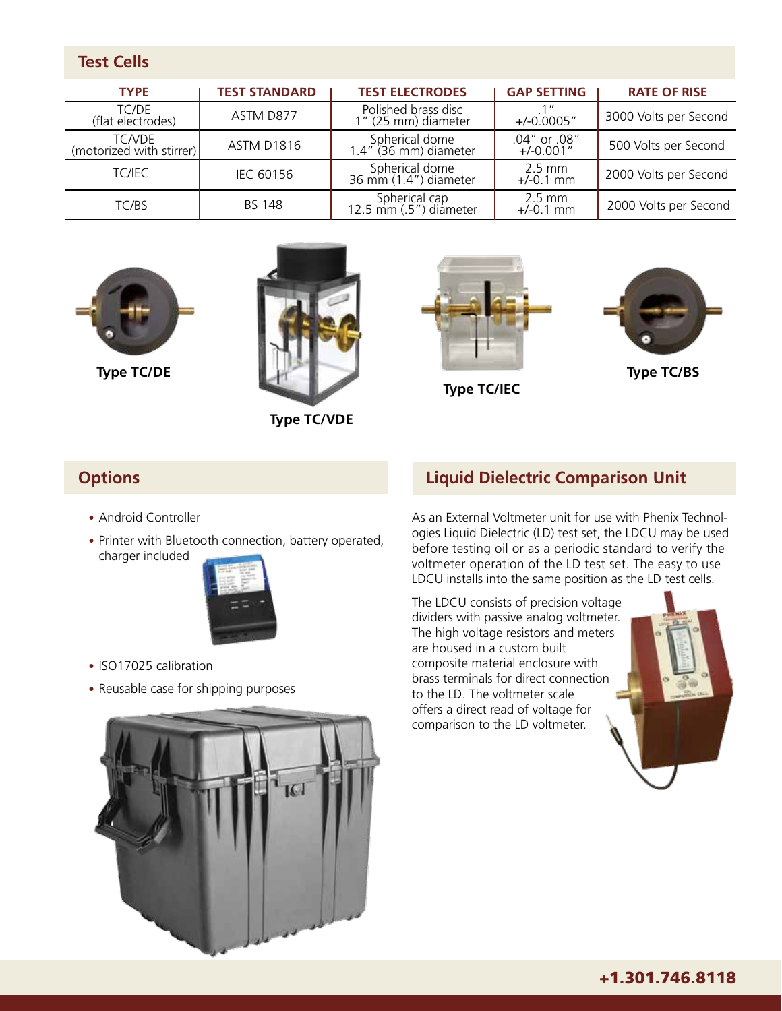| <b>Test Cells</b>                         |                      |                                            |                                 |                       |  |  |
|-------------------------------------------|----------------------|--------------------------------------------|---------------------------------|-----------------------|--|--|
| <b>TYPE</b>                               | <b>TEST STANDARD</b> | <b>TEST ELECTRODES</b>                     | <b>GAP SETTING</b>              | <b>RATE OF RISE</b>   |  |  |
| TC/DE<br>(flat electrodes)                | ASTM D877            | Polished brass disc<br>1" (25 mm) diameter | .1"<br>$+/-0.0005"$             | 3000 Volts per Second |  |  |
| <b>TC/VDE</b><br>(motorized with stirrer) | <b>ASTM D1816</b>    | Spherical dome<br>1.4" (36 mm) diameter    | .04" or .08"<br>$+/-0.001"$     | 500 Volts per Second  |  |  |
| <b>TC/IEC</b>                             | IEC 60156            | Spherical dome<br>36 mm (1.4") diameter    | $2.5$ mm<br>$+/-0.1$ mm         | 2000 Volts per Second |  |  |
| TC/BS                                     | <b>BS 148</b>        | Spherical cap<br>12.5 mm (.5") diameter    | $2.5 \text{ mm}$<br>$+/-0.1$ mm | 2000 Volts per Second |  |  |





 **Type TC/VDE**





- Android Controller
- Printer with Bluetooth connection, battery operated, charger included



- ISO17025 calibration
- Reusable case for shipping purposes

# **Options Liquid Dielectric Comparison Unit**

As an External Voltmeter unit for use with Phenix Technologies Liquid Dielectric (LD) test set, the LDCU may be used before testing oil or as a periodic standard to verify the voltmeter operation of the LD test set. The easy to use LDCU installs into the same position as the LD test cells.

The LDCU consists of precision voltage dividers with passive analog voltmeter. The high voltage resistors and meters are housed in a custom built composite material enclosure with brass terminals for direct connection to the LD. The voltmeter scale offers a direct read of voltage for comparison to the LD voltmeter.